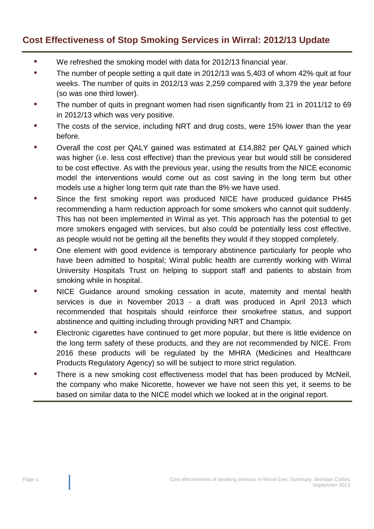## **Cost Effectiveness of Stop Smoking Services in Wirral: 2012/13 Update**

- **•** We refreshed the smoking model with data for 2012/13 financial year.
- **•** The number of people setting a quit date in 2012/13 was 5,403 of whom 42% quit at four weeks. The number of quits in 2012/13 was 2,259 compared with 3,379 the year before (so was one third lower).
- **•** The number of quits in pregnant women had risen significantly from 21 in 2011/12 to 69 in 2012/13 which was very positive.
- **•** The costs of the service, including NRT and drug costs, were 15% lower than the year before.
- **•** Overall the cost per QALY gained was estimated at £14,882 per QALY gained which was higher (i.e. less cost effective) than the previous year but would still be considered to be cost effective. As with the previous year, using the results from the NICE economic model the interventions would come out as cost saving in the long term but other models use a higher long term quit rate than the 8% we have used.
- **•** Since the first smoking report was produced NICE have produced guidance PH45 recommending a harm reduction approach for some smokers who cannot quit suddenly. This has not been implemented in Wirral as yet. This approach has the potential to get more smokers engaged with services, but also could be potentially less cost effective, as people would not be getting all the benefits they would if they stopped completely.
- One element with good evidence is temporary abstinence particularly for people who have been admitted to hospital; Wirral public health are currently working with Wirral University Hospitals Trust on helping to support staff and patients to abstain from smoking while in hospital.
- **•** NICE Guidance around smoking cessation in acute, maternity and mental health services is due in November 2013 - a draft was produced in April 2013 which recommended that hospitals should reinforce their smokefree status, and support abstinence and quitting including through providing NRT and Champix.
- **•** Electronic cigarettes have continued to get more popular, but there is little evidence on the long term safety of these products, and they are not recommended by NICE. From 2016 these products will be regulated by the MHRA (Medicines and Healthcare Products Regulatory Agency) so will be subject to more strict regulation.
- **•** There is a new smoking cost effectiveness model that has been produced by McNeil, the company who make Nicorette, however we have not seen this yet, it seems to be based on similar data to the NICE model which we looked at in the original report.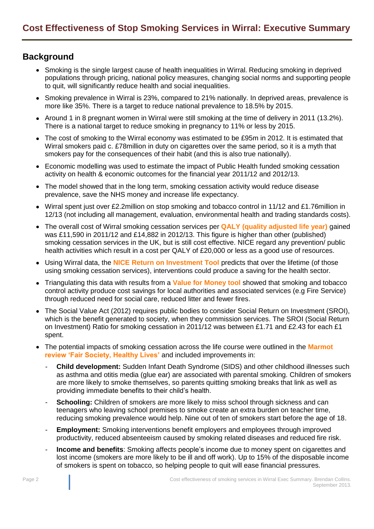## **Background**

- Smoking is the single largest cause of health inequalities in Wirral. Reducing smoking in deprived populations through pricing, national policy measures, changing social norms and supporting people to quit, will significantly reduce health and social inequalities.
- Smoking prevalence in Wirral is 23%, compared to 21% nationally. In deprived areas, prevalence is more like 35%. There is a target to reduce national prevalence to 18.5% by 2015.
- Around 1 in 8 pregnant women in Wirral were still smoking at the time of delivery in 2011 (13.2%). There is a national target to reduce smoking in pregnancy to 11% or less by 2015.
- The cost of smoking to the Wirral economy was estimated to be £95m in 2012. It is estimated that Wirral smokers paid c. £78million in duty on cigarettes over the same period, so it is a myth that smokers pay for the consequences of their habit (and this is also true nationally).
- Economic modelling was used to estimate the impact of Public Health funded smoking cessation activity on health & economic outcomes for the financial year 2011/12 and 2012/13.
- The model showed that in the long term, smoking cessation activity would reduce disease prevalence, save the NHS money and increase life expectancy.
- Wirral spent just over £2.2million on stop smoking and tobacco control in 11/12 and £1.76million in 12/13 (not including all management, evaluation, environmental health and trading standards costs).
- The overall cost of Wirral smoking cessation services per **QALY [\(quality adjusted life year\)](http://www.nice.org.uk/newsroom/features/measuringeffectivenessandcosteffectivenesstheqaly.jsp)** gained was £11,590 in 2011/12 and £14,882 in 2012/13. This figure is higher than other (published) smoking cessation services in the UK, but is still cost effective. NICE regard any prevention/ public health activities which result in a cost per QALY of £20,000 or less as a good use of resources.
- Using Wirral data, the **[NICE Return on Investment Tool](http://www.nice.org.uk/usingguidance/implementationtools/returnoninvesment/TobaccoROITool.jsp)** predicts that over the lifetime (of those using smoking cessation services), interventions could produce a saving for the health sector.
- Triangulating this data with results from a **[Value for Money tool](http://www.thensmc.com/resources/vfm)** showed that smoking and tobacco control activity produce cost savings for local authorities and associated services (e.g Fire Service) through reduced need for social care, reduced litter and fewer fires.
- The Social Value Act (2012) requires public bodies to consider Social Return on Investment (SROI), which is the benefit generated to society, when they commission services. The SROI (Social Return on Investment) Ratio for smoking cessation in 2011/12 was between £1.71 and £2.43 for each £1 spent.
- The potential impacts of smoking cessation across the life course were outlined in the **[Marmot](http://www.instituteofhealthequity.org/projects/fair-society-healthy-lives-the-marmot-review)  [review 'Fair Society, Healthy Lives'](http://www.instituteofhealthequity.org/projects/fair-society-healthy-lives-the-marmot-review)** and included improvements in:
	- **Child development:** Sudden Infant Death Syndrome (SIDS) and other childhood illnesses such as asthma and otitis media (glue ear) are associated with parental smoking. Children of smokers are more likely to smoke themselves, so parents quitting smoking breaks that link as well as providing immediate benefits to their child's health.
	- **Schooling:** Children of smokers are more likely to miss school through sickness and can teenagers who leaving school premises to smoke create an extra burden on teacher time, reducing smoking prevalence would help. Nine out of ten of smokers start before the age of 18.
	- **Employment:** Smoking interventions benefit employers and employees through improyed productivity, reduced absenteeism caused by smoking related diseases and reduced fire risk.
	- **Income and benefits**: Smoking affects people's income due to money spent on cigarettes and lost income (smokers are more likely to be ill and off work). Up to 15% of the disposable income of smokers is spent on tobacco, so helping people to quit will ease financial pressures.